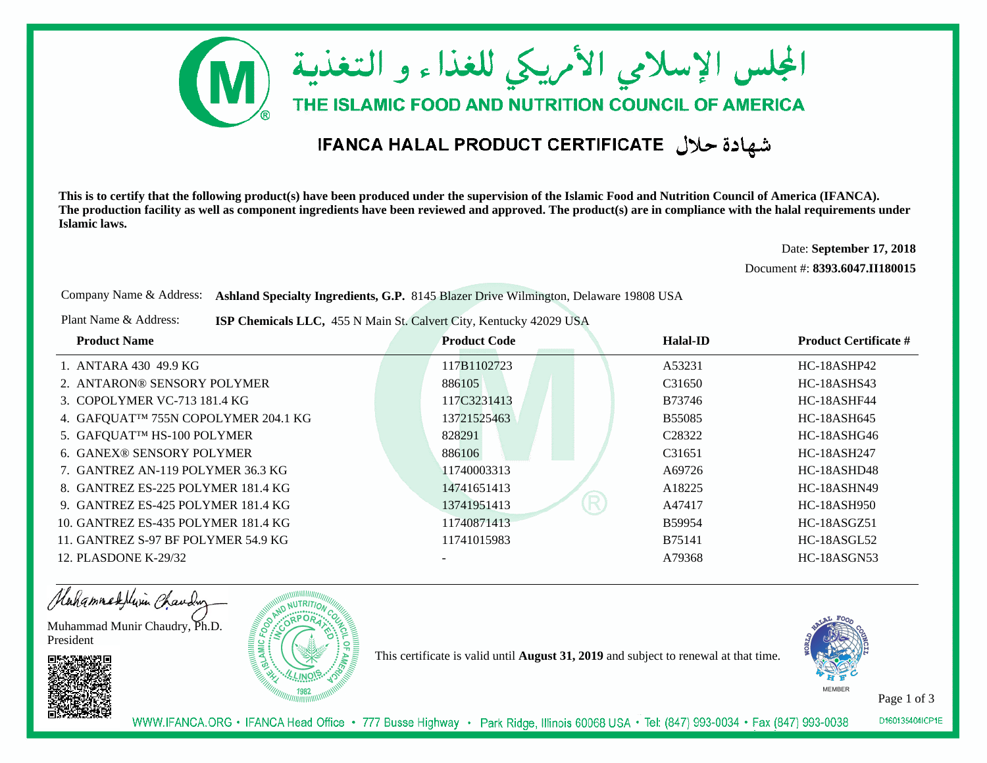

## شهادة حلال IFANCA HALAL PRODUCT CERTIFICATE

**This is to certify that the following product(s) have been produced under the supervision of the Islamic Food and Nutrition Council of America (IFANCA). The production facility as well as component ingredients have been reviewed and approved. The product(s) are in compliance with the halal requirements underIslamic laws.**

> Date: **September 17, 2018**Document #: **8393.6047.II180015**

Company Name & Address: **Ashland Specialty Ingredients, G.P.** 8145 Blazer Drive Wilmington, Delaware 19808 USA

Plant Name & Address:**ISP Chemicals LLC,** 455 N Main St. Calvert City, Kentucky 42029 USA

| <b>Product Name</b>                  | <b>Product Code</b> | Halal-ID           | <b>Product Certificate #</b> |
|--------------------------------------|---------------------|--------------------|------------------------------|
| 1. ANTARA 430 49.9 KG                | 117B1102723         | A53231             | HC-18ASHP42                  |
| 2. ANTARON® SENSORY POLYMER          | 886105              | C31650             | <b>HC-18ASHS43</b>           |
| 3. COPOLYMER VC-713 181.4 KG         | 117C3231413         | B73746             | HC-18ASHF44                  |
| 4. GAFQUATTM 755N COPOLYMER 204.1 KG | 13721525463         | <b>B55085</b>      | HC-18ASH645                  |
| 5. GAFQUATIM HS-100 POLYMER          | 828291              | C <sub>28322</sub> | HC-18ASHG46                  |
| <b>6. GANEX® SENSORY POLYMER</b>     | 886106              | C <sub>31651</sub> | <b>HC-18ASH247</b>           |
| 7. GANTREZ AN-119 POLYMER 36.3 KG    | 11740003313         | A69726             | HC-18ASHD48                  |
| 8. GANTREZ ES-225 POLYMER 181.4 KG   | 14741651413         | A18225             | HC-18ASHN49                  |
| 9. GANTREZ ES-425 POLYMER 181.4 KG   | R<br>13741951413    | A47417             | <b>HC-18ASH950</b>           |
| 10. GANTREZ ES-435 POLYMER 181.4 KG  | 11740871413         | B59954             | <b>HC-18ASGZ51</b>           |
| 11. GANTREZ S-97 BF POLYMER 54.9 KG  | 11741015983         | B75141             | <b>HC-18ASGL52</b>           |
| 12. PLASDONE K-29/32                 |                     | A79368             | HC-18ASGN53                  |

Hahammadellin Chauding

Muhammad Munir Chaudry, Ph.D.President



This certificate is valid until **August 31, 2019** and subject to renewal at that time.



Page 1 of 3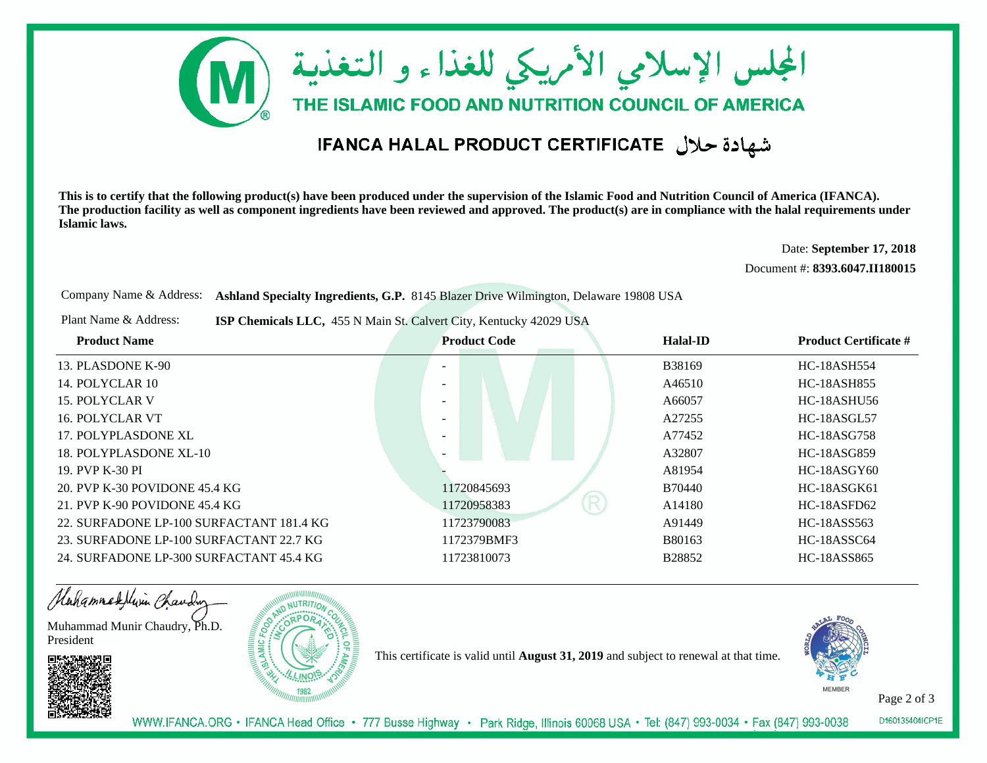

## شهادة حلال IFANCA HALAL PRODUCT CERTIFICATE

**This is to certify that the following product(s) have been produced under the supervision of the Islamic Food and Nutrition Council of America (IFANCA). The production facility as well as component ingredients have been reviewed and approved. The product(s) are in compliance with the halal requirements underIslamic laws.**

> Date: **September 17, 2018**Document #: **8393.6047.II180015**

Company Name & Address: **Ashland Specialty Ingredients, G.P.** 8145 Blazer Drive Wilmington, Delaware 19808 USA

Plant Name & Address:**ISP Chemicals LLC,** 455 N Main St. Calvert City, Kentucky 42029 USA

| <b>Product Name</b>                      | <b>Product Code</b> | Halal-ID      | <b>Product Certificate #</b> |
|------------------------------------------|---------------------|---------------|------------------------------|
| 13. PLASDONE K-90                        |                     | B38169        | <b>HC-18ASH554</b>           |
| 14. POLYCLAR 10                          |                     | A46510        | <b>HC-18ASH855</b>           |
| 15. POLYCLAR V                           |                     | A66057        | HC-18ASHU56                  |
| 16. POLYCLAR VT                          |                     | A27255        | <b>HC-18ASGL57</b>           |
| 17. POLYPLASDONE XL                      |                     | A77452        | <b>HC-18ASG758</b>           |
| 18. POLYPLASDONE XL-10                   |                     | A32807        | HC-18ASG859                  |
| 19. PVP K-30 PI                          |                     | A81954        | $HC-18ASGY60$                |
| 20. PVP K-30 POVIDONE 45.4 KG            | 11720845693         | <b>B70440</b> | HC-18ASGK61                  |
| 21. PVP K-90 POVIDONE $45.4$ KG          | R<br>11720958383    | A14180        | HC-18ASFD62                  |
| 22. SURFADONE LP-100 SURFACTANT 181.4 KG | 11723790083         | A91449        | HC-18ASS563                  |
| 23. SURFADONE LP-100 SURFACTANT 22.7 KG  | 1172379BMF3         | B80163        | HC-18ASSC64                  |
| 24. SURFADONE LP-300 SURFACTANT 45.4 KG  | 11723810073         | B28852        | <b>HC-18ASS865</b>           |

Hahammadellin Chauding Muhammad Munir Chaudry, Ph.D.President

This certificate is valid until **August 31, 2019** and subject to renewal at that time.



Page 2 of 3